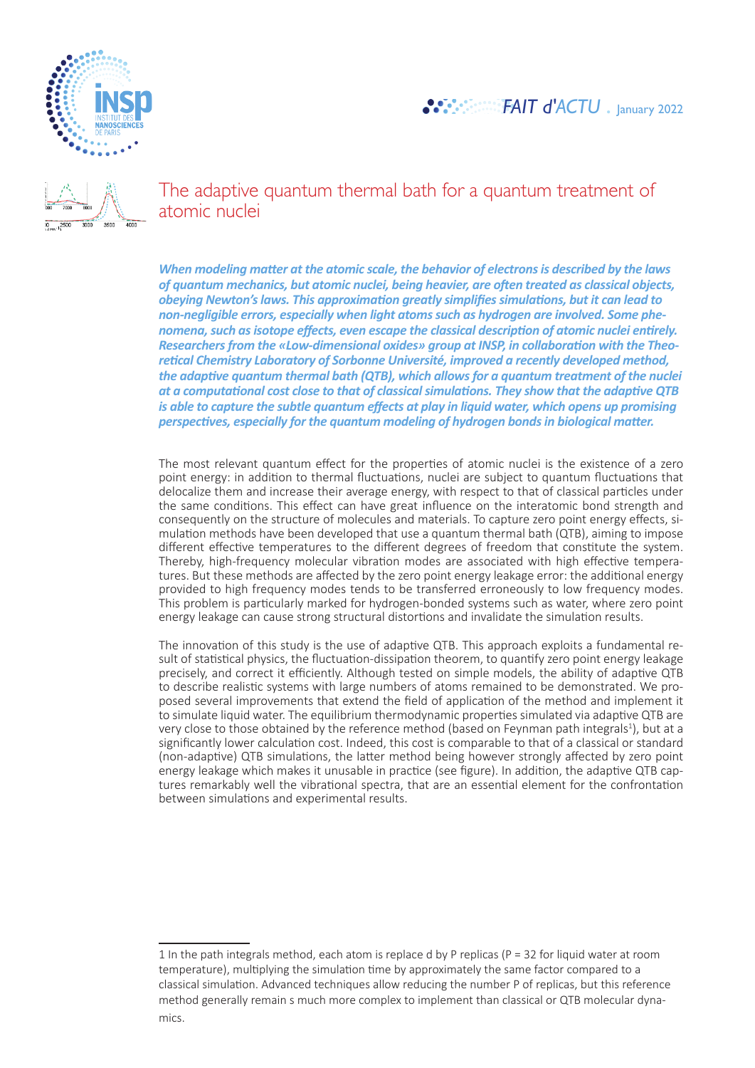



The adaptive quantum thermal bath for a quantum treatment of atomic nuclei

*When modeling matter at the atomic scale, the behavior of electrons is described by the laws of quantum mechanics, but atomic nuclei, being heavier, are often treated as classical objects, obeying Newton's laws. This approximation greatly simplifies simulations, but it can lead to non-negligible errors, especially when light atoms such as hydrogen are involved. Some phenomena, such as isotope effects, even escape the classical description of atomic nuclei entirely. Researchers from the «Low-dimensional oxides» group at INSP, in collaboration with the Theoretical Chemistry Laboratory of Sorbonne Université, improved a recently developed method, the adaptive quantum thermal bath (QTB), which allows for a quantum treatment of the nuclei at a computational cost close to that of classical simulations. They show that the adaptive QTB is able to capture the subtle quantum effects at play in liquid water, which opens up promising perspectives, especially for the quantum modeling of hydrogen bonds in biological matter.*

The most relevant quantum effect for the properties of atomic nuclei is the existence of a zero point energy: in addition to thermal fluctuations, nuclei are subject to quantum fluctuations that delocalize them and increase their average energy, with respect to that of classical particles under the same conditions. This effect can have great influence on the interatomic bond strength and consequently on the structure of molecules and materials. To capture zero point energy effects, simulation methods have been developed that use a quantum thermal bath (QTB), aiming to impose different effective temperatures to the different degrees of freedom that constitute the system. Thereby, high-frequency molecular vibration modes are associated with high effective temperatures. But these methods are affected by the zero point energy leakage error: the additional energy provided to high frequency modes tends to be transferred erroneously to low frequency modes. This problem is particularly marked for hydrogen-bonded systems such as water, where zero point energy leakage can cause strong structural distortions and invalidate the simulation results.

The innovation of this study is the use of adaptive QTB. This approach exploits a fundamental result of statistical physics, the fluctuation-dissipation theorem, to quantify zero point energy leakage precisely, and correct it efficiently. Although tested on simple models, the ability of adaptive QTB to describe realistic systems with large numbers of atoms remained to be demonstrated. We proposed several improvements that extend the field of application of the method and implement it to simulate liquid water. The equilibrium thermodynamic properties simulated via adaptive QTB are very close to those obtained by the reference method (based on Feynman path integrals<sup>1</sup>), but at a significantly lower calculation cost. Indeed, this cost is comparable to that of a classical or standard (non-adaptive) QTB simulations, the latter method being however strongly affected by zero point energy leakage which makes it unusable in practice (see figure). In addition, the adaptive QTB captures remarkably well the vibrational spectra, that are an essential element for the confrontation between simulations and experimental results.

<sup>1</sup> In the path integrals method, each atom is replace d by P replicas ( $P = 32$  for liquid water at room temperature), multiplying the simulation time by approximately the same factor compared to a classical simulation. Advanced techniques allow reducing the number P of replicas, but this reference method generally remain s much more complex to implement than classical or QTB molecular dynamics.